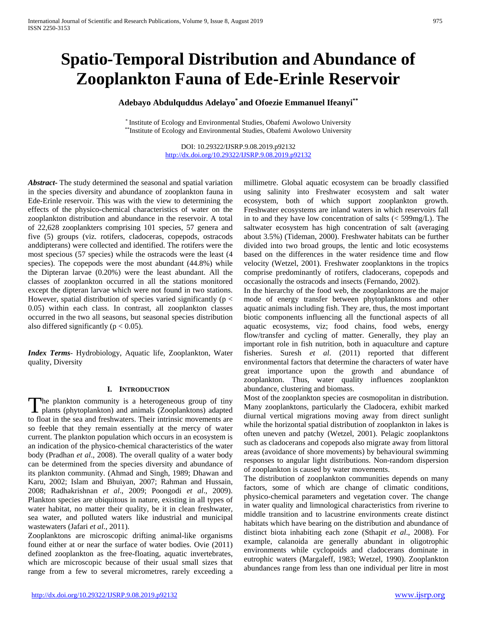# **Spatio-Temporal Distribution and Abundance of Zooplankton Fauna of Ede-Erinle Reservoir**

# **Adebayo Abdulquddus Adelayo\* and Ofoezie Emmanuel Ifeanyi\*\***

\* Institute of Ecology and Environmental Studies, Obafemi Awolowo University \*\*Institute of Ecology and Environmental Studies, Obafemi Awolowo University

> DOI: 10.29322/IJSRP.9.08.2019.p92132 <http://dx.doi.org/10.29322/IJSRP.9.08.2019.p92132>

*Abstract***-** The study determined the seasonal and spatial variation in the species diversity and abundance of zooplankton fauna in Ede-Erinle reservoir. This was with the view to determining the effects of the physico-chemical characteristics of water on the zooplankton distribution and abundance in the reservoir. A total of 22,628 zooplankters comprising 101 species, 57 genera and five (5) groups (viz. rotifers, cladoceras, copepods, ostracods anddipterans) were collected and identified. The rotifers were the most specious (57 species) while the ostracods were the least (4 species). The copepods were the most abundant (44.8%) while the Dipteran larvae (0.20%) were the least abundant. All the classes of zooplankton occurred in all the stations monitored except the dipteran larvae which were not found in two stations. However, spatial distribution of species varied significantly ( $p <$ 0.05) within each class. In contrast, all zooplankton classes occurred in the two all seasons, but seasonal species distribution also differed significantly ( $p < 0.05$ ).

*Index Terms*- Hydrobiology, Aquatic life, Zooplankton, Water quality, Diversity

## **I. INTRODUCTION**

The plankton community is a heterogeneous group of tiny The plankton community is a heterogeneous group of tiny plants (phytoplankton) and animals (Zooplanktons) adapted to float in the sea and freshwaters. Their intrinsic movements are so feeble that they remain essentially at the mercy of water current. The plankton population which occurs in an ecosystem is an indication of the physico-chemical characteristics of the water body (Pradhan *et al*., 2008). The overall quality of a water body can be determined from the species diversity and abundance of its plankton community. (Ahmad and Singh, 1989; Dhawan and Karu, 2002; Islam and Bhuiyan, 2007; Rahman and Hussain, 2008; Radhakrishnan *et al*., 2009; Poongodi *et al*., 2009). Plankton species are ubiquitous in nature, existing in all types of water habitat, no matter their quality, be it in clean freshwater, sea water, and polluted waters like industrial and municipal wastewaters (Jafari *et al*., 2011).

Zooplanktons are microscopic drifting animal-like organisms found either at or near the surface of water bodies. Ovie (2011) defined zooplankton as the free-floating, aquatic invertebrates, which are microscopic because of their usual small sizes that range from a few to several micrometres, rarely exceeding a

millimetre. Global aquatic ecosystem can be broadly classified using salinity into Freshwater ecosystem and salt water ecosystem, both of which support zooplankton growth. Freshwater ecosystems are inland waters in which reservoirs fall in to and they have low concentration of salts (< 599mg/L). The saltwater ecosystem has high concentration of salt (averaging about 3.5%) (Tideman, 2000). Freshwater habitats can be further divided into two broad groups, the lentic and lotic ecosystems based on the differences in the water residence time and flow velocity (Wetzel, 2001). Freshwater zooplanktons in the tropics comprise predominantly of rotifers, cladocerans, copepods and occasionally the ostracods and insects (Fernando, 2002).

In the hierarchy of the food web, the zooplanktons are the major mode of energy transfer between phytoplanktons and other aquatic animals including fish. They are, thus, the most important biotic components influencing all the functional aspects of all aquatic ecosystems, viz; food chains, food webs, energy flow/transfer and cycling of matter. Generally, they play an important role in fish nutrition, both in aquaculture and capture fisheries. Suresh *et al*. (2011) reported that different environmental factors that determine the characters of water have great importance upon the growth and abundance of zooplankton. Thus, water quality influences zooplankton abundance, clustering and biomass.

Most of the zooplankton species are cosmopolitan in distribution. Many zooplanktons, particularly the Cladocera, exhibit marked diurnal vertical migrations moving away from direct sunlight while the horizontal spatial distribution of zooplankton in lakes is often uneven and patchy (Wetzel, 2001). Pelagic zooplanktons such as cladocerans and copepods also migrate away from littoral areas (avoidance of shore movements) by behavioural swimming responses to angular light distributions. Non-random dispersion of zooplankton is caused by water movements.

The distribution of zooplankton communities depends on many factors, some of which are change of climatic conditions, physico-chemical parameters and vegetation cover. The change in water quality and limnological characteristics from riverine to middle transition and to lacustrine environments create distinct habitats which have bearing on the distribution and abundance of distinct biota inhabiting each zone (Sthapit *et al*., 2008). For example, calanoida are generally abundant in oligotrophic environments while cyclopoids and cladocerans dominate in eutrophic waters (Margaleff, 1983; Wetzel, 1990). Zooplankton abundances range from less than one individual per litre in most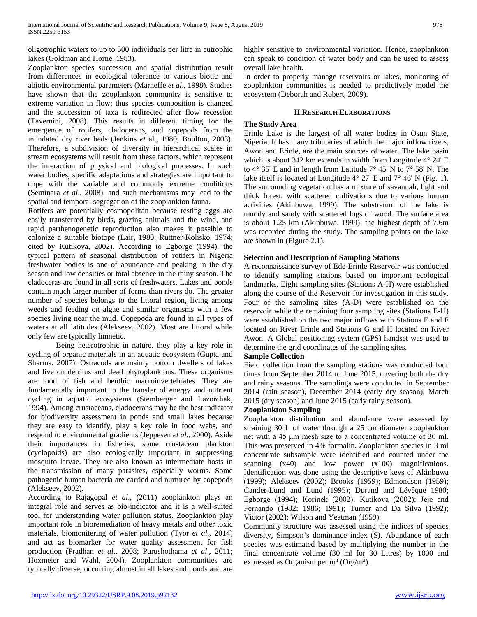oligotrophic waters to up to 500 individuals per litre in eutrophic lakes (Goldman and Horne, 1983).

Zooplankton species succession and spatial distribution result from differences in ecological tolerance to various biotic and abiotic environmental parameters (Marneffe *et al*., 1998). Studies have shown that the zooplankton community is sensitive to extreme variation in flow; thus species composition is changed and the succession of taxa is redirected after flow recession (Tavernini, 2008). This results in different timing for the emergence of rotifers, cladocerans, and copepods from the inundated dry river beds (Jenkins *et* al., 1980; Boulton, 2003). Therefore, a subdivision of diversity in hierarchical scales in stream ecosystems will result from these factors, which represent the interaction of physical and biological processes. In such water bodies, specific adaptations and strategies are important to cope with the variable and commonly extreme conditions (Seminara *et al*., 2008), and such mechanisms may lead to the spatial and temporal segregation of the zooplankton fauna.

Rotifers are potentially cosmopolitan because resting eggs are easily transferred by birds, grazing animals and the wind, and rapid parthenogenetic reproduction also makes it possible to colonize a suitable biotope (Lair, 1980; Ruttner-Kolisko, 1974; cited by Kutikova, 2002). According to Egborge (1994), the typical pattern of seasonal distribution of rotifers in Nigeria freshwater bodies is one of abundance and peaking in the dry season and low densities or total absence in the rainy season. The cladoceras are found in all sorts of freshwaters. Lakes and ponds contain much larger number of forms than rivers do. The greater number of species belongs to the littoral region, living among weeds and feeding on algae and similar organisms with a few species living near the mud. Copepoda are found in all types of waters at all latitudes (Alekseev, 2002). Most are littoral while only few are typically limnetic.

Being heterotrophic in nature, they play a key role in cycling of organic materials in an aquatic ecosystem (Gupta and Sharma, 2007). Ostracods are mainly bottom dwellers of lakes and live on detritus and dead phytoplanktons. These organisms are food of fish and benthic macroinvertebrates. They are fundamentally important in the transfer of energy and nutrient cycling in aquatic ecosystems (Stemberger and Lazorchak, 1994). Among crustaceans, cladocerans may be the best indicator for biodiversity assessment in ponds and small lakes because they are easy to identify, play a key role in food webs, and respond to environmental gradients (Jeppesen *et al*., 2000). Aside their importances in fisheries, some crustacean plankton (cyclopoids) are also ecologically important in suppressing mosquito larvae. They are also known as intermediate hosts in the transmission of many parasites, especially worms. Some pathogenic human bacteria are carried and nurtured by copepods (Alekseev, 2002).

According to Rajagopal *et al*., (2011) zooplankton plays an integral role and serves as bio-indicator and it is a well-suited tool for understanding water pollution status. Zooplankton play important role in bioremediation of heavy metals and other toxic materials, biomonitering of water pollution (Tyor *et al*., 2014) and act as biomarker for water quality assessment for fish production (Pradhan *et al*., 2008; Purushothama *et al*., 2011; Hoxmeier and Wahl, 2004). Zooplankton communities are typically diverse, occurring almost in all lakes and ponds and are

highly sensitive to environmental variation. Hence, zooplankton can speak to condition of water body and can be used to assess overall lake health.

In order to properly manage reservoirs or lakes, monitoring of zooplankton communities is needed to predictively model the ecosystem (Deborah and Robert, 2009).

# **II.RESEARCH ELABORATIONS**

# **The Study Area**

Erinle Lake is the largest of all water bodies in Osun State, Nigeria. It has many tributaries of which the major inflow rivers, Awon and Erinle, are the main sources of water. The lake basin which is about 342 km extends in width from Longitude 4° 24' E to  $4^{\circ}$  35' E and in length from Latitude  $7^{\circ}$  45' N to  $7^{\circ}$  58' N. The lake itself is located at Longitude 4° 27' E and 7° 46' N (Fig. 1). The surrounding vegetation has a mixture of savannah, light and thick forest, with scattered cultivations due to various human activities (Akinbuwa, 1999). The substratum of the lake is muddy and sandy with scattered logs of wood. The surface area is about 1.25 km (Akinbuwa, 1999); the highest depth of 7.6m was recorded during the study. The sampling points on the lake are shown in (Figure 2.1).

# **Selection and Description of Sampling Stations**

A reconnaissance survey of Ede-Erinle Reservoir was conducted to identify sampling stations based on important ecological landmarks. Eight sampling sites (Stations A-H) were established along the course of the Reservoir for investigation in this study. Four of the sampling sites (A-D) were established on the reservoir while the remaining four sampling sites (Stations E-H) were established on the two major inflows with Stations E and F located on River Erinle and Stations G and H located on River Awon. A Global positioning system (GPS) handset was used to determine the grid coordinates of the sampling sites.

# **Sample Collection**

Field collection from the sampling stations was conducted four times from September 2014 to June 2015, covering both the dry and rainy seasons. The samplings were conducted in September 2014 (rain season), December 2014 (early dry season), March 2015 (dry season) and June 2015 (early rainy season).

## **Zooplankton Sampling**

Zooplankton distribution and abundance were assessed by straining 30 L of water through a 25 cm diameter zooplankton net with a 45 μm mesh size to a concentrated volume of 30 ml. This was preserved in 4% formalin. Zooplankton species in 3 ml concentrate subsample were identified and counted under the scanning  $(x40)$  and low power  $(x100)$  magnifications. Identification was done using the descriptive keys of Akinbuwa (1999); Alekseev (2002); Brooks (1959); Edmondson (1959); Cander-Lund and Lund (1995); Durand and Lévêque 1980; Egborge (1994); Korinek (2002); Kutikova (2002); Jeje and Fernando (1982; 1986; 1991); Turner and Da Silva (1992); Victor (2002); Wilson and Yeatman (1959).

Community structure was assessed using the indices of species diversity, Simpson's dominance index (S). Abundance of each species was estimated based by multiplying the number in the final concentrate volume (30 ml for 30 Litres) by 1000 and expressed as Organism per  $m^3$  (Org/ $m^3$ ).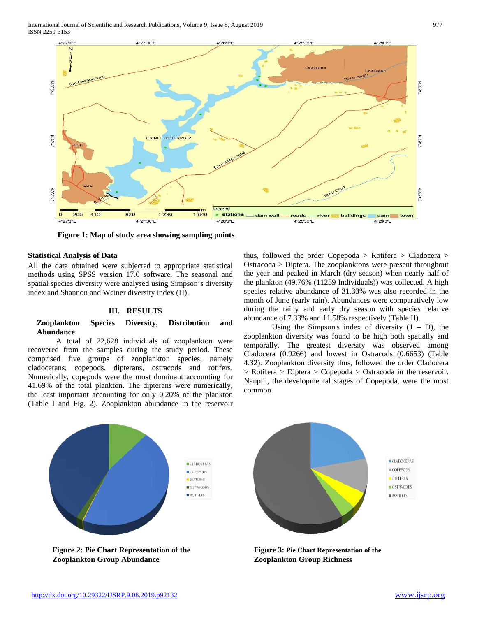International Journal of Scientific and Research Publications, Volume 9, Issue 8, August 2019 977 ISSN 2250-3153



**Figure 1: Map of study area showing sampling points**

## **Statistical Analysis of Data**

All the data obtained were subjected to appropriate statistical methods using SPSS version 17.0 software. The seasonal and spatial species diversity were analysed using Simpson's diversity index and Shannon and Weiner diversity index (H).

#### **III. RESULTS**

## **Zooplankton Species Diversity, Distribution and Abundance**

A total of 22,628 individuals of zooplankton were recovered from the samples during the study period. These comprised five groups of zooplankton species, namely cladocerans, copepods, dipterans, ostracods and rotifers. Numerically, copepods were the most dominant accounting for 41.69% of the total plankton. The dipterans were numerically, the least important accounting for only 0.20% of the plankton (Table I and Fig. 2). Zooplankton abundance in the reservoir

thus, followed the order Copepoda > Rotifera > Cladocera > Ostracoda > Diptera. The zooplanktons were present throughout the year and peaked in March (dry season) when nearly half of the plankton (49.76% (11259 Individuals)) was collected. A high species relative abundance of 31.33% was also recorded in the month of June (early rain). Abundances were comparatively low during the rainy and early dry season with species relative abundance of 7.33% and 11.58% respectively (Table II).

Using the Simpson's index of diversity  $(1 - D)$ , the zooplankton diversity was found to be high both spatially and temporally. The greatest diversity was observed among Cladocera (0.9266) and lowest in Ostracods (0.6653) (Table 4.32). Zooplankton diversity thus, followed the order Cladocera > Rotifera > Diptera > Copepoda > Ostracoda in the reservoir. Nauplii, the developmental stages of Copepoda, were the most common.



**Zooplankton Group Abundance**

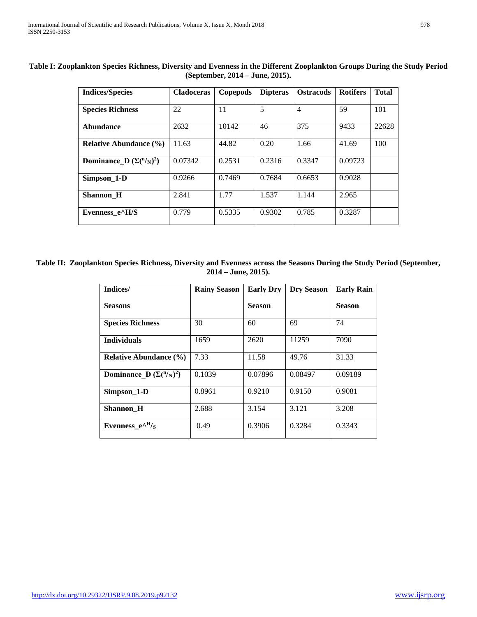| <b>Indices/Species</b>                  | <b>Cladoceras</b> | Copepods | <b>Dipteras</b> | <b>Ostracods</b> | <b>Rotifers</b> | <b>Total</b> |
|-----------------------------------------|-------------------|----------|-----------------|------------------|-----------------|--------------|
| <b>Species Richness</b>                 | 22                | 11       | 5               | $\overline{4}$   | 59              | 101          |
| Abundance                               | 2632              | 10142    | 46              | 375              | 9433            | 22628        |
| <b>Relative Abundance</b> (%)           | 11.63             | 44.82    | 0.20            | 1.66             | 41.69           | 100          |
| Dominance D $(\Sigma({}^n/_{\rm N})^2)$ | 0.07342           | 0.2531   | 0.2316          | 0.3347           | 0.09723         |              |
| Simpson_1-D                             | 0.9266            | 0.7469   | 0.7684          | 0.6653           | 0.9028          |              |
| <b>Shannon H</b>                        | 2.841             | 1.77     | 1.537           | 1.144            | 2.965           |              |
| Evenness e^H/S                          | 0.779             | 0.5335   | 0.9302          | 0.785            | 0.3287          |              |

**Table I: Zooplankton Species Richness, Diversity and Evenness in the Different Zooplankton Groups During the Study Period (September, 2014 – June, 2015).**

**Table II: Zooplankton Species Richness, Diversity and Evenness across the Seasons During the Study Period (September, 2014 – June, 2015).**

| Indices/                                  | <b>Rainy Season</b> | <b>Early Dry</b> | <b>Dry Season</b> | <b>Early Rain</b> |
|-------------------------------------------|---------------------|------------------|-------------------|-------------------|
| <b>Seasons</b>                            |                     | <b>Season</b>    |                   | <b>Season</b>     |
| <b>Species Richness</b>                   | 30                  | 60               | 69                | 74                |
| <b>Individuals</b>                        | 1659                | 2620             | 11259             | 7090              |
| <b>Relative Abundance (%)</b>             | 7.33                | 11.58            | 49.76             | 31.33             |
| Dominance D $(\Sigma({}^n/{}_{\rm N})^2)$ | 0.1039              | 0.07896          | 0.08497           | 0.09189           |
| Simpson 1-D                               | 0.8961              | 0.9210           | 0.9150            | 0.9081            |
| Shannon_H                                 | 2.688               | 3.154            | 3.121             | 3.208             |
| Evenness $e^{AH}/s$                       | 0.49                | 0.3906           | 0.3284            | 0.3343            |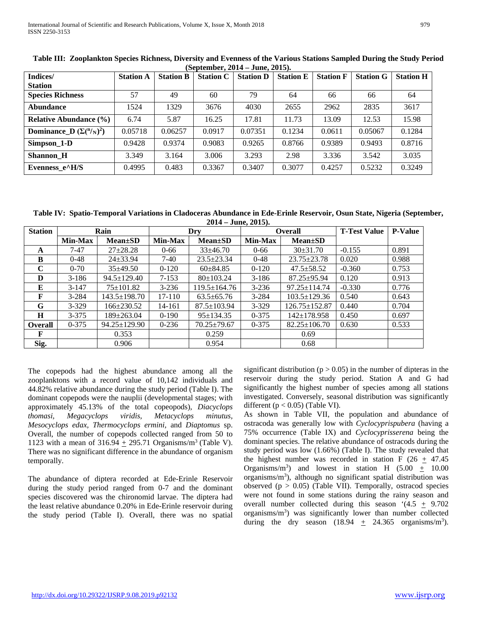| Indices/                                | <b>Station A</b> | <b>Station B</b> | $10.9$ P $3.22.0$ $3.4$<br><b>Station C</b> | <b>Station D</b> | <b>Station E</b> | <b>Station F</b> | <b>Station G</b> | <b>Station H</b> |
|-----------------------------------------|------------------|------------------|---------------------------------------------|------------------|------------------|------------------|------------------|------------------|
| <b>Station</b>                          |                  |                  |                                             |                  |                  |                  |                  |                  |
| <b>Species Richness</b>                 | 57               | 49               | 60                                          | 79               | 64               | 66               | 66               | 64               |
| <b>Abundance</b>                        | 1524             | 1329             | 3676                                        | 4030             | 2655             | 2962             | 2835             | 3617             |
| <b>Relative Abundance (%)</b>           | 6.74             | 5.87             | 16.25                                       | 17.81            | 11.73            | 13.09            | 12.53            | 15.98            |
| Dominance D $(\Sigma({}^n/_{\rm N})^2)$ | 0.05718          | 0.06257          | 0.0917                                      | 0.07351          | 0.1234           | 0.0611           | 0.05067          | 0.1284           |
| Simpson_1-D                             | 0.9428           | 0.9374           | 0.9083                                      | 0.9265           | 0.8766           | 0.9389           | 0.9493           | 0.8716           |
| <b>Shannon H</b>                        | 3.349            | 3.164            | 3.006                                       | 3.293            | 2.98             | 3.336            | 3.542            | 3.035            |
| Evenness e^H/S                          | 0.4995           | 0.483            | 0.3367                                      | 0.3407           | 0.3077           | 0.4257           | 0.5232           | 0.3249           |

**Table III: Zooplankton Species Richness, Diversity and Evenness of the Various Stations Sampled During the Study Period (September, 2014 – June, 2015).**

**Table IV: Spatio-Temporal Variations in Cladoceras Abundance in Ede-Erinle Reservoir, Osun State, Nigeria (September, 2014 – June, 2015).**

| <b>Station</b> |                | Rain               |            | Dry                |                                 | <b>Overall</b>      | <b>T-Test Value</b> | <b>P-Value</b> |
|----------------|----------------|--------------------|------------|--------------------|---------------------------------|---------------------|---------------------|----------------|
|                | <b>Min-Max</b> | <b>Mean</b> ±SD    | Min-Max    | <b>Mean</b> ±SD    | <b>Min-Max</b>                  | $Mean \pm SD$       |                     |                |
| A              | $7-47$         | $27+28.28$         | $0 - 66$   | $33+46.70$         | $0 - 66$                        | $30\pm31.70$        | $-0.155$            | 0.891          |
| B              | $0 - 48$       | $24 + 33.94$       | $7-40$     | $23.5 \pm 23.34$   | $0 - 48$                        | $23.75 \pm 23.78$   | 0.020               | 0.988          |
| C              | $0 - 70$       | $35\pm49.50$       | $0-120$    | $60\pm84.85$       | $0-120$                         | $47.5 \pm 58.52$    | $-0.360$            | 0.753          |
| D              | $3-186$        | $94.5 \pm 129.40$  | $7 - 153$  | $80 \pm 103.24$    | $3 - 186$                       | $87.25 \pm 95.94$   | 0.120               | 0.913          |
| E              | $3-147$        | $75 \pm 101.82$    | $3 - 236$  | $119.5 \pm 164.76$ | $3 - 236$                       | $97.25 \pm 114.74$  | $-0.330$            | 0.776          |
| F              | $3 - 284$      | $143.5 \pm 198.70$ | $17 - 110$ | $63.5 \pm 65.76$   | $103.5 \pm 129.36$<br>$3 - 284$ |                     | 0.540               | 0.643          |
| G              | $3 - 329$      | $166 \pm 230.52$   | 14-161     | $87.5 \pm 103.94$  | $3 - 329$                       | $126.75 \pm 152.87$ | 0.440               | 0.704          |
| H              | $3 - 375$      | $189 \pm 263.04$   | $0-190$    | $95 \pm 134.35$    | $0 - 375$                       | $142 \pm 178.958$   | 0.450               | 0.697          |
| <b>Overall</b> | $0 - 375$      | $94.25 \pm 129.90$ | $0 - 236$  | $70.25 \pm 79.67$  | $0 - 375$                       | $82.25 \pm 106.70$  | 0.630               | 0.533          |
| F              |                | 0.353              |            | 0.259              |                                 | 0.69                |                     |                |
| Sig.           |                | 0.906              |            | 0.954              |                                 | 0.68                |                     |                |

The copepods had the highest abundance among all the zooplanktons with a record value of 10,142 individuals and 44.82% relative abundance during the study period (Table I). The dominant copepods were the nauplii (developmental stages; with approximately 45.13% of the total copeopods)*, Diacyclops thomasi, Megacyclops viridis, Metacyclops minutus, Mesocyclops edax, Thermocyclops ermini,* and *Diaptomus* sp. Overall, the number of copepods collected ranged from 50 to 1123 with a mean of  $316.94 \pm 295.71$  Organisms/m<sup>3</sup> (Table V). There was no significant difference in the abundance of organism temporally.

The abundance of diptera recorded at Ede-Erinle Reservoir during the study period ranged from 0-7 and the dominant species discovered was the chironomid larvae. The diptera had the least relative abundance 0.20% in Ede-Erinle reservoir during the study period (Table I). Overall, there was no spatial significant distribution ( $p > 0.05$ ) in the number of dipteras in the reservoir during the study period. Station A and G had significantly the highest number of species among all stations investigated. Conversely, seasonal distribution was significantly different ( $p < 0.05$ ) (Table VI).

As shown in Table VII, the population and abundance of ostracoda was generally low with *Cyclocyprispubera* (having a 75% occurrence (Table IX) and *Cyclocyprisserena* being the dominant species. The relative abundance of ostracods during the study period was low (1.66%) (Table I). The study revealed that the highest number was recorded in station F (26  $+$  47.45 Organisms/m<sup>3</sup>) and lowest in station H  $(5.00 + 10.00)$ organisms/m<sup>3</sup>), although no significant spatial distribution was observed ( $p > 0.05$ ) (Table VII). Temporally, ostracod species were not found in some stations during the rainy season and overall number collected during this season '(4.5  $\pm$  9.702 organisms/m<sup>3</sup>) was significantly lower than number collected during the dry season  $(18.94 \pm 24.365 \text{ organisms/m}^3)$ .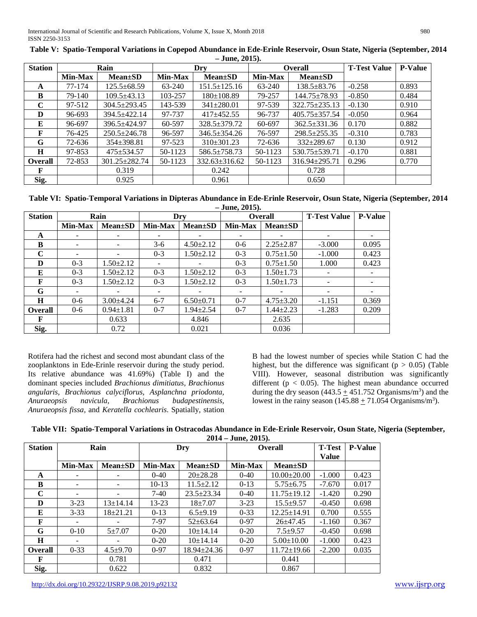| <b>Station</b> |                | Rain                |                | Dry                 |                              | <b>Overall</b>      | <b>T-Test Value</b> | <b>P-Value</b> |
|----------------|----------------|---------------------|----------------|---------------------|------------------------------|---------------------|---------------------|----------------|
|                | <b>Min-Max</b> | <b>Mean</b> ±SD     | <b>Min-Max</b> | $Mean \pm SD$       | <b>Min-Max</b>               | <b>Mean</b> ±SD     |                     |                |
| A              | 77-174         | $125.5 \pm 68.59$   | 63-240         | $151.5 \pm 125.16$  | 63-240                       | $138.5 \pm 83.76$   | $-0.258$            | 0.893          |
| B              | 79-140         | $109.5 \pm 43.13$   | 103-257        | $180 \pm 108.89$    | 79-257                       | $144.75 \pm 78.93$  | $-0.850$            | 0.484          |
| C              | 97-512         | $304.5 \pm 293.45$  | 143-539        | $341 \pm 280.01$    | 97-539                       | 322.75±235.13       | $-0.130$            | 0.910          |
| D              | 96-693         | $394.5 + 422.14$    | 97-737         | $417 + 452.55$      | 96-737                       | $405.75 \pm 357.54$ | $-0.050$            | 0.964          |
| E              | 96-697         | 396.5±424.97        | 60-597         | 328.5±379.72        | 60-697                       | $362.5 \pm 331.36$  | 0.170               | 0.882          |
| F              | 76-425         | $250.5 \pm 246.78$  | 96-597         | 346.5±354.26        | 76-597<br>$298.5 \pm 255.35$ |                     | $-0.310$            | 0.783          |
| G              | 72-636         | $354 \pm 398.81$    | 97-523         | $310\pm301.23$      | 72-636                       | $332 \pm 289.67$    | 0.130               | 0.912          |
| H              | 97-853         | $475 \pm 534.57$    | 50-1123        | 586.5±758.73        | 50-1123                      | $530.75 \pm 539.71$ | $-0.170$            | 0.881          |
| <b>Overall</b> | 72-853         | $301.25 \pm 282.74$ | 50-1123        | $332.63 \pm 316.62$ | 50-1123                      | $316.94 \pm 295.71$ | 0.296               | 0.770          |
| F              |                | 0.319               |                | 0.242               |                              | 0.728               |                     |                |
| Sig.           |                | 0.925               |                | 0.961               |                              | 0.650               |                     |                |

| Table V: Spatio-Temporal Variations in Copepod Abundance in Ede-Erinle Reservoir, Osun State, Nigeria (September, 2014 |  |
|------------------------------------------------------------------------------------------------------------------------|--|
| – June, 2015).                                                                                                         |  |

**Table VI: Spatio-Temporal Variations in Dipteras Abundance in Ede-Erinle Reservoir, Osun State, Nigeria (September, 2014 – June, 2015).**

|                |                |                 | $0$ and $\sim$ $\sim$ $\sim$ |                 |                            |                          |                     |                |
|----------------|----------------|-----------------|------------------------------|-----------------|----------------------------|--------------------------|---------------------|----------------|
| <b>Station</b> |                | Rain            |                              | Drv             |                            | <b>Overall</b>           | <b>T-Test Value</b> | <b>P-Value</b> |
|                | <b>Min-Max</b> | $Mean \pm SD$   | <b>Min-Max</b>               | $Mean \pm SD$   | Min-Max                    | $Mean \pm SD$            |                     |                |
| A              |                |                 |                              |                 |                            | $\overline{\phantom{a}}$ |                     |                |
| B              |                |                 | $3-6$                        | $4.50 \pm 2.12$ | $0 - 6$                    | $2.25 \pm 2.87$          | $-3.000$            | 0.095          |
| $\mathbf C$    |                |                 | $0 - 3$                      | $1.50 \pm 2.12$ | $0 - 3$                    | $0.75 \pm 1.50$          | $-1.000$            | 0.423          |
| D              | $0 - 3$        | $1.50 \pm 2.12$ |                              |                 | $0 - 3$<br>$0.75 \pm 1.50$ |                          | 1.000               | 0.423          |
| E              | $0 - 3$        | $1.50 \pm 2.12$ | $0 - 3$                      | $1.50 \pm 2.12$ | $0 - 3$                    | $1.50 \pm 1.73$          |                     |                |
| F              | $0 - 3$        | $1.50 \pm 2.12$ | $0 - 3$                      | $1.50 \pm 2.12$ | $0 - 3$<br>$1.50 \pm 1.73$ |                          |                     |                |
| G              |                |                 |                              |                 | $\overline{\phantom{a}}$   |                          |                     |                |
| H              | $0 - 6$        | $3.00\pm4.24$   | $6 - 7$                      | $6.50 \pm 0.71$ | $0 - 7$                    | $4.75 \pm 3.20$          | $-1.151$            | 0.369          |
| <b>Overall</b> | $0 - 6$        | $0.94 \pm 1.81$ | $0 - 7$                      | $1.94 \pm 2.54$ | $0 - 7$                    | $1.44 \pm 2.23$          | $-1.283$            | 0.209          |
| F              |                | 0.633           |                              | 4.846           |                            | 2.635                    |                     |                |
| Sig.           |                | 0.72            |                              | 0.021           |                            | 0.036                    |                     |                |

Rotifera had the richest and second most abundant class of the zooplanktons in Ede-Erinle reservoir during the study period. Its relative abundance was 41.69%) (Table I) and the dominant species included *Brachionus dimitiatus, Brachionus angularis, Brachionus calyciflorus, Asplanchna priodonta, Anuraeopsis navicula, Brachionus budapestinensis, Anuraeopsis fissa,* and *Keratella cochlearis*. Spatially, station

B had the lowest number of species while Station C had the highest, but the difference was significant ( $p > 0.05$ ) (Table VIII). However, seasonal distribution was significantly different ( $p < 0.05$ ). The highest mean abundance occurred during the dry season  $(443.5 + 451.752 \text{ Organisms/m}^3)$  and the lowest in the rainy season  $(145.88 + 71.054$  Organisms/m<sup>3</sup>).

| Table VII: Spatio-Temporal Variations in Ostracodas Abundance in Ede-Erinle Reservoir, Osun State, Nigeria (September, |
|------------------------------------------------------------------------------------------------------------------------|
| $2014 - June. 2015$ .                                                                                                  |

| <b>Station</b> |                | Rain          |          | Dry               |                               | <b>Overall</b>    | <b>T-Test</b> | <b>P-Value</b> |
|----------------|----------------|---------------|----------|-------------------|-------------------------------|-------------------|---------------|----------------|
|                |                |               |          |                   |                               |                   | <b>Value</b>  |                |
|                | <b>Min-Max</b> | $Mean \pm SD$ | Min-Max  | $Mean \pm SD$     | Min-Max<br><b>Mean</b> ±SD    |                   |               |                |
| A              |                |               | $0 - 40$ | $20 \pm 28.28$    | $0 - 40$                      | $10.00 \pm 20.00$ | $-1.000$      | 0.423          |
| B              | -              |               | $10-13$  | $11.5 \pm 2.12$   | $0-13$                        | $5.75 \pm 6.75$   | $-7.670$      | 0.017          |
| C              |                |               | $7-40$   | $23.5 \pm 23.34$  | $0 - 40$                      | $11.75 \pm 19.12$ | $-1.420$      | 0.290          |
| D              | $3 - 23$       | $13+14.14$    | 13-23    | $18 + 7.07$       | $3 - 23$<br>$15.5 + 9.57$     |                   | $-0.450$      | 0.698          |
| E              | $3 - 33$       | $18 + 21.21$  | $0-13$   | $6.5 \pm 9.19$    | $12.25 \pm 14.91$<br>$0 - 33$ |                   | 0.700         | 0.555          |
| F              |                |               | $7-97$   | $52 \pm 63.64$    | $0 - 97$                      | $26 + 47.45$      | $-1.160$      | 0.367          |
| G              | $0 - 10$       | $5 + 7.07$    | $0 - 20$ | 10±14.14          | $0 - 20$                      | $7.5 + 9.57$      | $-0.450$      | 0.698          |
| H              |                |               | $0-20$   | 10±14.14          | $0-20$                        | $5.00 \pm 10.00$  | $-1.000$      | 0.423          |
| <b>Overall</b> | $0 - 33$       | $4.5 + 9.70$  | $0-97$   | $18.94 \pm 24.36$ | $0-97$                        | $11.72 \pm 19.66$ | $-2.200$      | 0.035          |
| F              |                | 0.781         |          | 0.471             |                               | 0.441             |               |                |
| Sig.           |                | 0.622         |          | 0.832             |                               | 0.867             |               |                |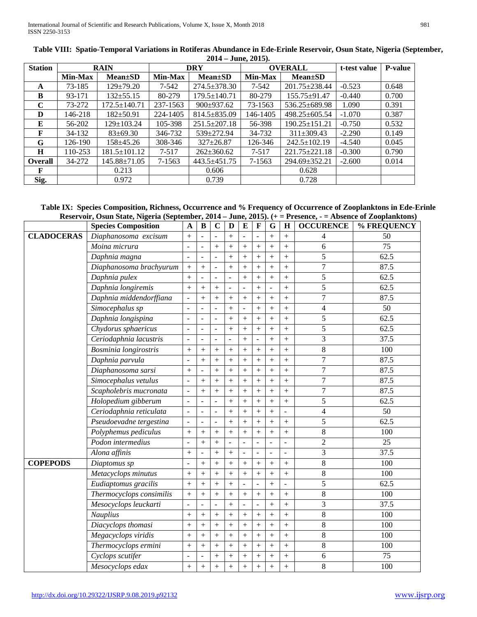| <b>Station</b> |                | <b>RAIN</b>        |           | <b>DRY</b>         |                          | <b>OVERALL</b>      | t-test value | <b>P-value</b> |
|----------------|----------------|--------------------|-----------|--------------------|--------------------------|---------------------|--------------|----------------|
|                | <b>Min-Max</b> | $Mean \pm SD$      | Min-Max   | $Mean \pm SD$      | <b>Min-Max</b>           | <b>Mean</b> ±SD     |              |                |
| A              | 73-185         | $129 \pm 79.20$    | 7-542     | $274.5 \pm 378.30$ | 7-542                    | 201.75±238.44       | $-0.523$     | 0.648          |
| B              | 93-171         | $132 \pm 55.15$    | 80-279    | $179.5 \pm 140.71$ | 80-279                   | 155.75±91.47        | $-0.440$     | 0.700          |
| C              | 73-272         | $172.5 \pm 140.71$ | 237-1563  | $900 \pm 937.62$   | 73-1563                  | 536.25±689.98       | 1.090        | 0.391          |
| D              | 146-218        | $182 \pm 50.91$    | 224-1405  | $814.5 + 835.09$   | 146-1405                 | 498.25±605.54       | $-1.070$     | 0.387          |
| E              | 56-202         | 129±103.24         | 105-398   | $251.5 \pm 207.18$ | 56-398                   | $190.25 \pm 151.21$ | $-0.750$     | 0.532          |
| F              | 34-132         | $83 \pm 69.30$     | 346-732   | 539±272.94         | 34-732<br>$311\pm309.43$ |                     | $-2.290$     | 0.149          |
| G              | 126-190        | 158±45.26          | 308-346   | $327 \pm 26.87$    | 126-346                  | $242.5 \pm 102.19$  | $-4.540$     | 0.045          |
| H              | 110-253        | $181.5 \pm 101.12$ | $7 - 517$ | $262 \pm 360.62$   | $7 - 517$                | $221.75 \pm 221.18$ | $-0.300$     | 0.790          |
| Overall        | 34-272         | $145.88 \pm 71.05$ | 7-1563    | $443.5 \pm 451.75$ | 7-1563                   | 294.69±352.21       | $-2.600$     | 0.014          |
| F              |                | 0.213              |           | 0.606              |                          | 0.628               |              |                |
| Sig.           |                | 0.972              |           | 0.739              |                          | 0.728               |              |                |

| Table VIII: Spatio-Temporal Variations in Rotiferas Abundance in Ede-Erinle Reservoir, Osun State, Nigeria (September, |
|------------------------------------------------------------------------------------------------------------------------|
| $2014 - June, 2015$ .                                                                                                  |

# **Table IX: Species Composition, Richness, Occurrence and % Frequency of Occurrence of Zooplanktons in Ede-Erinle Reservoir, Osun State, Nigeria (September, 2014 – June, 2015). (+ = Presence, - = Absence of Zooplanktons)**

|                   | <b>Species Composition</b>          | $\mathbf{A}$             | $\bf{B}$  | $\mathbf C$              | D         | $\bf{E}$       | $\mathbf F$      | G                | H                   | <b>OCCURENCE</b>        | % FREQUENCY |
|-------------------|-------------------------------------|--------------------------|-----------|--------------------------|-----------|----------------|------------------|------------------|---------------------|-------------------------|-------------|
| <b>CLADOCERAS</b> | Diaphanosoma excisum                | $^{+}$                   |           | $\sim$                   | $^{+}$    |                | ÷,               | $^{+}$           | $+$                 | 4                       | 50          |
|                   | Moina micrura                       | $\overline{\phantom{a}}$ |           | $+$                      | $^{+}$    | $+$            | $^{+}$           | $^{+}$           | $+$                 | 6                       | 75          |
|                   | Daphnia magna                       | $\frac{1}{2}$            |           |                          | $\ddot{}$ | $+$            | $+$              | $+$              | $^{+}$              | 5                       | 62.5        |
|                   | Diaphanosoma brachyurum             | $+$                      | $^{+}$    | $\bar{\phantom{a}}$      | $^{+}$    | $^{+}$         | $^{+}$           | $^{+}$           | $+$                 | $\boldsymbol{7}$        | 87.5        |
|                   | Daphnia pulex                       | $^{+}$                   |           | $\blacksquare$           | ÷         | $^{+}$         |                  | $^{+}$           | $^{+}$              | $\sqrt{5}$              | 62.5        |
|                   | Daphnia longiremis                  | $^{+}$                   | $^{+}$    | $+$                      |           |                | $^{+}$           |                  | $+$                 | 5                       | 62.5        |
|                   | Daphnia middendorffiana             |                          | $\ddot{}$ | $+$                      | $+$       | $^{+}$         | $^{+}$           | $^{+}$           | $+$                 | $\overline{7}$          | 87.5        |
|                   | Simocephalus sp                     | $\frac{1}{2}$            |           | $\frac{1}{2}$            | $^{+}$    | $\overline{a}$ | $\ddot{}$        | $\ddot{}$        | $^{+}$              | $\overline{4}$          | 50          |
|                   | Daphnia longispina                  | $\blacksquare$           | L,        | $\blacksquare$           | $^{+}$    | $+$            | $^{+}$           | $^{+}$           | $+$                 | 5                       | 62.5        |
|                   | Chydorus sphaericus                 | $\overline{\phantom{a}}$ |           | $\blacksquare$           | $^{+}$    | $^{+}$         | $\boldsymbol{+}$ | $^{+}$           | $+$                 | 5                       | 62.5        |
|                   | Ceriodaphnia lacustris              | $\overline{\phantom{a}}$ |           | $\overline{\phantom{a}}$ | ۳         | $+$            |                  | $\ddot{}$        | $+$                 | 3                       | 37.5        |
|                   | <b>Bosminia</b> longirostris        | $^{+}$                   | $^{+}$    | $\overline{+}$           | $^{+}$    | $^{+}$         | $\! + \!$        | $^{+}$           | $+$                 | $\bf 8$                 | 100         |
|                   | Daphnia parvula                     | $\overline{a}$           | $^{+}$    | $^{+}$                   | $\ddot{}$ | $+$            | $^{+}$           | $\ddot{+}$       | $+$                 | $\boldsymbol{7}$        | 87.5        |
|                   | Diaphanosoma sarsi                  | $^{+}$                   |           | $+$                      | $^{+}$    | $+$            | $^{+}$           | $+$              | $+$                 | $\tau$                  | 87.5        |
|                   | Simocephalus vetulus                | $\blacksquare$           | $+$       | $+$                      | $^{+}$    | $^{+}$         | $^{+}$           | $^{+}$           | $+$                 | $\boldsymbol{7}$        | 87.5        |
|                   | Scapholebris mucronata              | $\overline{\phantom{a}}$ | $\ddot{}$ | $+$                      | $\ddot{}$ | $+$            | $^{+}$           | $^{+}$           | $+$                 | $\boldsymbol{7}$        | 87.5        |
|                   | Holopedium gibberum                 | $\overline{\phantom{a}}$ |           | $\bar{\phantom{a}}$      | $^{+}$    | $^{+}$         | $^{+}$           | $^{+}$           | $+$                 | 5                       | 62.5        |
|                   | Ceriodaphnia reticulata             | $\Box$                   | ÷,        | $\equiv$                 | $+$       | $+$            | $^{+}$           | $\ddot{+}$       | $\overline{a}$      | $\overline{\mathbf{4}}$ | 50          |
|                   | Pseudoevadne tergestina             | $\blacksquare$           |           | $\blacksquare$           | $^{+}$    | $+$            | $+$              | $+$              | $+$                 | 5                       | 62.5        |
|                   | Polyphemus pediculus                | $^{+}$                   | $+$       | $+$                      | $^{+}$    | $+$            | $^{+}$           | $^{+}$           | $+$                 | $\,8\,$                 | 100         |
|                   | Podon intermedius                   | $\blacksquare$           | $^{+}$    | $^{+}$                   | ÷,        | $\overline{a}$ | ÷,               | ÷,               | $\bar{\phantom{a}}$ | $\sqrt{2}$              | 25          |
|                   | Alona affinis                       | $^{+}$                   |           | $+$                      | $^{+}$    | L.             | $\overline{a}$   |                  | $\blacksquare$      | 3                       | 37.5        |
| <b>COPEPODS</b>   | Diaptomus sp                        | $\overline{\phantom{a}}$ | $^{+}$    | $^{+}$                   | $+$       | $^{+}$         | $\boldsymbol{+}$ | $^{+}$           | $+$                 | $\,8\,$                 | 100         |
|                   | Metacyclops minutus                 | $^{+}$                   | $^{+}$    | $+$                      | $+$       | $+$            | $^{+}$           | $\ddot{}$        | $+$                 | $\,8\,$                 | 100         |
|                   | Eudiaptomus gracilis                | $\! + \!$                | $^{+}$    | $\boldsymbol{+}$         | $^{+}$    | ÷,             | ÷,               | $^{+}$           | $\bar{\phantom{a}}$ | 5                       | 62.5        |
|                   | Thermocyclops consimilis            | $\boldsymbol{+}$         | $^{+}$    | $+$                      | $^{+}$    | $+$            | $\boldsymbol{+}$ | $^{+}$           | $+$                 | $\,$ 8 $\,$             | 100         |
|                   | $\overline{Me}$ socyclops leuckarti | $\overline{a}$           |           | $\sim$                   | $^{+}$    |                | L.               | $^{+}$           | $+$                 | 3                       | 37.5        |
|                   | Nauplius                            | $^{+}$                   | $+$       | $+$                      | $\ddot{}$ | $^{+}$         | $^{+}$           | $^{+}$           | $^{+}$              | $\,8\,$                 | 100         |
|                   | Diacyclops thomasi                  | $+$                      | $^{+}$    | $+$                      | $+$       | $+$            | $\! + \!$        | $+$              | $+$                 | $\bf 8$                 | 100         |
|                   | Megacyclops viridis                 | $^{+}$                   | $^{+}$    | $+$                      | $^{+}$    | $+$            | $^{+}$           | $\boldsymbol{+}$ | $+$                 | $\,$ 8 $\,$             | 100         |
|                   | Thermocyclops ermini                | $^{+}$                   | $^{+}$    | $+$                      | $^{+}$    | $^{+}$         | $\boldsymbol{+}$ | $^{+}$           | $^{+}$              | $\,$ 8 $\,$             | 100         |
|                   | Cyclops scutifer                    | $\overline{a}$           |           | $+$                      | $^{+}$    | $+$            | $^{+}$           | $^{+}$           | $+$                 | $\boldsymbol{6}$        | 75          |
|                   | Mesocyclops edax                    | $^{+}$                   | $^{+}$    | $\overline{+}$           | $+$       | $^{+}$         | $^{+}$           | $^{+}$           | $+$                 | $\,8\,$                 | 100         |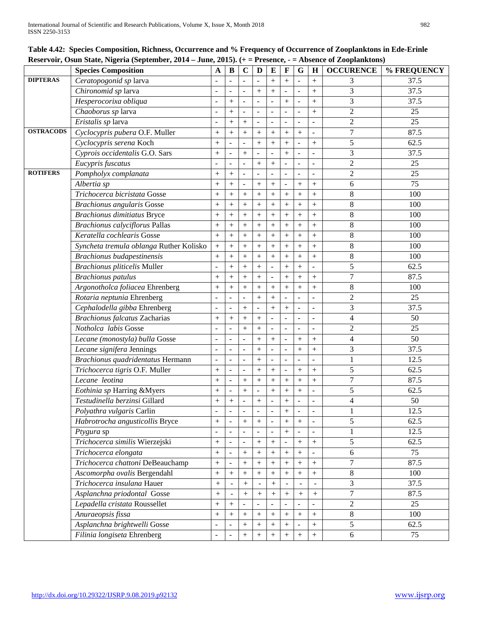#### **Table 4.42: Species Composition, Richness, Occurrence and % Frequency of Occurrence of Zooplanktons in Ede-Erinle Reservoir, Osun State, Nigeria (September, 2014 – June, 2015). (+ = Presence, - = Absence of Zooplanktons)**

|                  | Reservoir, Osun State, inigeria (September, 2014 – June, 2015). (+ = Fresence, - = Absence of ZoopianKtons)<br><b>Species Composition</b> | A                        | B                        | $\mathbf C$ | D                        | ${\bf E}$ | $\mathbf{F}$ | G                        | $\mathbf H$              | <b>OCCURENCE</b>         | % FREQUENCY |
|------------------|-------------------------------------------------------------------------------------------------------------------------------------------|--------------------------|--------------------------|-------------|--------------------------|-----------|--------------|--------------------------|--------------------------|--------------------------|-------------|
| <b>DIPTERAS</b>  | Ceratopogonid sp larva                                                                                                                    |                          |                          |             |                          | $+$       | $+$          |                          | $^{+}$                   | 3                        | 37.5        |
|                  | Chironomid sp larva                                                                                                                       |                          |                          |             | $^{+}$                   | $+$       |              | L,                       | $^{+}$                   | 3                        | 37.5        |
|                  | Hesperocorixa obliqua                                                                                                                     |                          | $^{+}$                   |             |                          |           | $\ddot{}$    | $\overline{\phantom{a}}$ | $^{+}$                   | 3                        | 37.5        |
|                  | Chaoborus sp larva                                                                                                                        |                          | $+$                      |             | $\blacksquare$           |           |              |                          | $+$                      | $\overline{c}$           | 25          |
|                  | Eristalis sp larva                                                                                                                        |                          | $^{+}$                   | $^{+}$      | $\sim$                   |           |              | $\overline{\phantom{a}}$ |                          | $\mathfrak{2}$           | 25          |
| <b>OSTRACODS</b> | Cyclocypris pubera O.F. Muller                                                                                                            | $^{+}$                   | $^{+}$                   | $^{+}$      | $+$                      | $^{+}$    | $^{+}$       | $+$                      | $\overline{\phantom{a}}$ | 7                        | 87.5        |
|                  | Cyclocypris serena Koch                                                                                                                   | $^{+}$                   |                          |             | $^{+}$                   | $+$       | $+$          |                          | $^{+}$                   | 5                        | 62.5        |
|                  | Cyprois occidentalis G.O. Sars                                                                                                            | $+$                      |                          | $^{+}$      |                          |           | $+$          | ÷,                       |                          | 3                        | 37.5        |
|                  | Eucypris fuscatus                                                                                                                         |                          |                          |             | $+$                      | $^{+}$    |              |                          |                          | $\overline{2}$           | 25          |
| <b>ROTIFERS</b>  | Pompholyx complanata                                                                                                                      |                          | $^{+}$                   |             | $\blacksquare$           |           |              | ÷,                       | $\overline{\phantom{a}}$ | $\overline{2}$           | 25          |
|                  | Albertia sp                                                                                                                               | $^{+}$                   | $+$                      |             | $+$                      | $^{+}$    |              | $^{+}$                   | $^{+}$                   | 6                        | 75          |
|                  | Trichocerca bicristata Gosse                                                                                                              | $^{+}$                   | $^{+}$                   | $^{+}$      | $^{+}$                   | $+$       | $^{+}$       | $^{+}$                   | $^{+}$                   | $8\,$                    | 100         |
|                  | <b>Brachionus angularis Gosse</b>                                                                                                         | $+$                      | $^{+}$                   | $^{+}$      | $+$                      | $^{+}$    | $+$          | $+$                      | $^{+}$                   | $8\,$                    | 100         |
|                  | <b>Brachionus dimitiatus Bryce</b>                                                                                                        | $^{+}$                   | $^{+}$                   | $^{+}$      | $^{+}$                   | $^{+}$    | $^{+}$       | $^{+}$                   | $\boldsymbol{+}$         | $\,8\,$                  | 100         |
|                  | <b>Brachionus calyciflorus Pallas</b>                                                                                                     | $+$                      | $^{+}$                   | $^{+}$      | $+$                      | $^{+}$    | $+$          | $+$                      | $^{+}$                   | 8                        | 100         |
|                  | Keratella cochlearis Gosse                                                                                                                | $+$                      | $+$                      | $+$         | $+$                      | $^{+}$    | $+$          | $+$                      | $+$                      | 8                        | 100         |
|                  | Syncheta tremula oblanga Ruther Kolisko                                                                                                   |                          | $^{+}$                   | $^{+}$      | $^{+}$                   | $+$       | $+$          | $^{+}$                   | $^{+}$                   | 8                        | 100         |
|                  | <b>Brachionus budapestinensis</b>                                                                                                         | $^{+}$                   | $^{+}$                   | $^{+}$      | $+$                      | $^{+}$    | $^{+}$       | $^{+}$                   | $^{+}$                   | $8\,$                    | 100         |
|                  | <b>Brachionus pliticelis Muller</b>                                                                                                       |                          | $^{+}$                   | $^{+}$      | $^{+}$                   |           | $^{+}$       | $+$                      | $\blacksquare$           | 5                        | 62.5        |
|                  | <b>Brachionus</b> patulus                                                                                                                 | $+$                      | $^{+}$                   | $^{+}$      | $^{+}$                   |           | $^{+}$       | $^{+}$                   | $^{+}$                   | $\boldsymbol{7}$         | 87.5        |
|                  | Argonotholca foliacea Ehrenberg                                                                                                           | $^{+}$                   | $^{+}$                   | $+$         | $^{+}$                   | $+$       | $^{+}$       | $+$                      | $^{+}$                   | $8\,$                    | 100         |
|                  | Rotaria neptunia Ehrenberg                                                                                                                | $\blacksquare$           | $\overline{a}$           |             | $+$                      | $^{+}$    |              |                          |                          | $\overline{2}$           | 25          |
|                  | Cephalodella gibba Ehrenberg                                                                                                              | $\overline{\phantom{a}}$ | $\overline{\phantom{a}}$ | $^{+}$      | $\overline{\phantom{a}}$ | $^{+}$    | $+$          | ÷,                       |                          | 3                        | 37.5        |
|                  | <b>Brachionus falcatus Zacharias</b>                                                                                                      | $^{+}$                   | $^{+}$                   | $^{+}$      | $^{+}$                   |           |              |                          | $\sim$                   | 4                        | 50          |
|                  | Notholca labis Gosse                                                                                                                      |                          |                          | $^{+}$      | $+$                      |           |              | $\overline{\phantom{a}}$ | $\blacksquare$           | $\overline{2}$           | 25          |
|                  | Lecane (monostyla) bulla Gosse                                                                                                            |                          |                          |             | $^{+}$                   | $+$       |              | $^{+}$                   | $^{+}$                   | 4                        | 50          |
|                  | Lecane signifera Jennings                                                                                                                 | $\blacksquare$           | $\overline{a}$           |             | $+$                      |           |              | $+$                      | $^{+}$                   | 3                        | 37.5        |
|                  | Brachionus quadridentatus Hermann                                                                                                         | $\overline{\phantom{a}}$ |                          |             | $+$                      |           |              |                          |                          | $\mathbf{1}$             | 12.5        |
|                  | Trichocerca tigris O.F. Muller                                                                                                            |                          |                          |             |                          | $^{+}$    |              | $^{+}$                   | $^{+}$                   | $\mathfrak s$            | 62.5        |
|                  | Lecane leotina                                                                                                                            | $^{+}$                   |                          | $^{+}$      |                          | $^{+}$    | $+$          | $^{+}$                   | $^{+}$                   | 7                        | 87.5        |
|                  | Eothinia sp Harring &Myers                                                                                                                | $+$                      |                          | $^{+}$      |                          | $^{+}$    | $^{+}$       | $^{+}$                   |                          | 5                        | 62.5        |
|                  | Testudinella berzinsi Gillard                                                                                                             | $+$                      | $^{+}$                   |             | $+$                      |           | $\ddot{}$    | $\blacksquare$           |                          | $\overline{\mathcal{L}}$ | 50          |
|                  | Polyathra vulgaris Carlin                                                                                                                 | $\overline{a}$           |                          |             | $\overline{\phantom{a}}$ |           | $^+$         |                          |                          | $\mathbf{1}$             | 12.5        |
|                  | Habrotrocha angusticollis Bryce                                                                                                           | $\boldsymbol{+}$         | $\frac{1}{2}$            | $+$         |                          |           | $+$          | $+$                      |                          | 5                        | 62.5        |
|                  | Ptygura sp                                                                                                                                |                          | $\overline{a}$           |             |                          |           | $+$          | $\sim$                   |                          | 1                        | 12.5        |
|                  | Trichocerca similis Wierzejski                                                                                                            | $\qquad \qquad +$        |                          |             | $+$                      | $+$       |              | $\boldsymbol{+}$         | $\boldsymbol{+}$         | 5                        | 62.5        |
|                  | Trichocerca elongata                                                                                                                      | $+$                      |                          | $^{+}$      | $+$                      | $^{+}$    | $+$          | $+$                      |                          | 6                        | 75          |
|                  | Trichocerca chattoni DeBeauchamp                                                                                                          | $\boldsymbol{+}$         |                          | $^+$        |                          | $^{+}$    | $^{+}$       |                          | $\boldsymbol{+}$         | $\boldsymbol{7}$         | 87.5        |
|                  | Ascomorpha ovalis Bergendahl                                                                                                              |                          | $^{+}$                   | $+$         | $+$                      | $+$       | $+$          | $\! + \!$                | $\boldsymbol{+}$         | $8\,$                    | 100         |
|                  | Trichocerca insulana Hauer                                                                                                                |                          |                          | $+$         |                          | $+$       |              |                          | $\omega$                 | 3                        | 37.5        |
|                  | Asplanchna priodontal Gosse                                                                                                               |                          |                          | $^{+}$      |                          | $^{+}$    |              | $^{+}$                   | $^{+}$                   | $\overline{7}$           | 87.5        |
|                  | Lepadella cristata Roussellet                                                                                                             | $\boldsymbol{+}$         | $^{+}$                   |             |                          |           |              |                          |                          | $\mathbf{2}$             | 25          |
|                  | Anuraeopsis fissa                                                                                                                         | $\boldsymbol{+}$         | $\! + \!\!\!\!$          | $^{+}$      |                          |           | $^{+}$       |                          | $\boldsymbol{+}$         | $\,8\,$                  | 100         |
|                  | Asplanchna brightwelli Gosse                                                                                                              | $\overline{\phantom{a}}$ |                          | $^{+}$      | $+$                      | $^{+}$    | $^{+}$       |                          | $^{+}$                   | 5                        | 62.5        |
|                  | Filinia longiseta Ehrenberg                                                                                                               | $\blacksquare$           | $\overline{a}$           | $^{+}$      | $+$                      | $+$       | $+$          | $+$                      | $^{+}$                   | 6                        | 75          |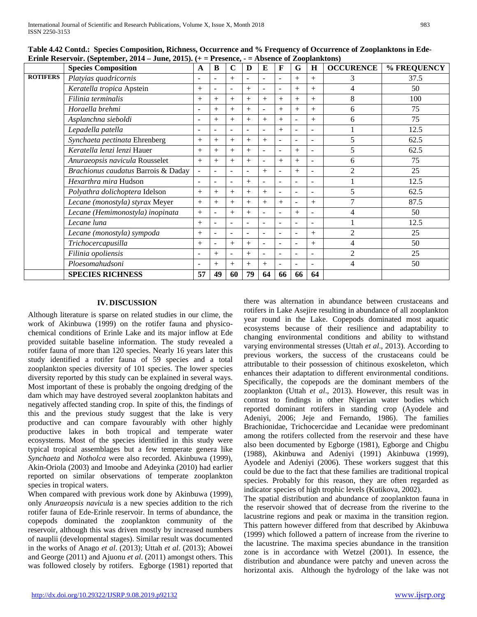|                 | <b>Species Composition</b>          | A                        | B              | $\mathbf C$              | D      | ${\bf E}$                | F                        | G              | H                        | <b>OCCURENCE</b> | % FREQUENCY |
|-----------------|-------------------------------------|--------------------------|----------------|--------------------------|--------|--------------------------|--------------------------|----------------|--------------------------|------------------|-------------|
| <b>ROTIFERS</b> | Platyias quadricornis               | ÷.                       | $\blacksquare$ | $^{+}$                   | ÷.     | $\equiv$                 | $\equiv$                 | $^{+}$         | $^{+}$                   | 3                | 37.5        |
|                 | Keratella tropica Apstein           | $+$                      |                | $\blacksquare$           | $^{+}$ | ٠                        |                          | $^{+}$         | $^{+}$                   | 4                | 50          |
|                 | Filinia terminalis                  | $+$                      | $^{+}$         | $^{+}$                   | $^{+}$ | $+$                      | $^{+}$                   | $^{+}$         | $^{+}$                   | 8                | 100         |
|                 | Horaella brehmi                     |                          | $^{+}$         | $^{+}$                   | $^{+}$ | ۰                        | $^{+}$                   | $^{+}$         | $^{+}$                   | 6                | 75          |
|                 | Asplanchna sieboldi                 | $\overline{\phantom{a}}$ | $^{+}$         | $^{+}$                   | $^{+}$ | $+$                      | $^{+}$                   | $\overline{a}$ | $^{+}$                   | 6                | 75          |
|                 | Lepadella patella                   | $\overline{\phantom{a}}$ |                | $\overline{a}$           |        | ۰                        | $^{+}$                   |                | $\blacksquare$           |                  | 12.5        |
|                 | Synchaeta pectinata Ehrenberg       | $+$                      | $^{+}$         | $^{+}$                   | $+$    | $+$                      |                          |                | ٠                        | 5                | 62.5        |
|                 | Keratella lenzi lenzi Hauer         | $+$                      | $^{+}$         | $^{+}$                   | $^{+}$ | ۰                        |                          | $^{+}$         |                          | 5                | 62.5        |
|                 | Anuraeopsis navicula Rousselet      | $+$                      | $^{+}$         | $^{+}$                   | $^{+}$ | ۰                        | $^{+}$                   | $^{+}$         | $\overline{\phantom{a}}$ | 6                | 75          |
|                 | Brachionus caudatus Barrois & Daday |                          |                |                          |        | $+$                      |                          | $^{+}$         |                          | $\overline{2}$   | 25          |
|                 | Hexarthra mira Hudson               | $\sim$                   | $\blacksquare$ | $\blacksquare$           | $^{+}$ | ۰                        |                          |                | ٠                        |                  | 12.5        |
|                 | Polyathra dolichoptera Idelson      | $+$                      | $^{+}$         | $^{+}$                   | $^{+}$ | $+$                      |                          |                |                          | 5                | 62.5        |
|                 | Lecane (monostyla) styrax Meyer     | $+$                      | $^{+}$         | $^{+}$                   | $^{+}$ | $+$                      | $^{+}$                   | $\blacksquare$ | $^{+}$                   | 7                | 87.5        |
|                 | Lecane (Hemimonostyla) inopinata    | $+$                      |                | $^{+}$                   | $^{+}$ | ۰                        |                          | $^{+}$         |                          | 4                | 50          |
|                 | Lecane luna                         | $+$                      | ۰              | $\overline{\phantom{a}}$ |        | ۰                        |                          |                | $\overline{a}$           |                  | 12.5        |
|                 | Lecane (monostyla) sympoda          | $+$                      |                |                          |        | $\equiv$                 |                          |                | $^{+}$                   | $\overline{2}$   | 25          |
|                 | Trichocercapusilla                  | $+$                      | $\blacksquare$ | $+$                      | $^{+}$ | $\overline{\phantom{a}}$ | $\overline{\phantom{0}}$ | $\overline{a}$ | $+$                      | 4                | 50          |
|                 | Filinia opoliensis                  | $\overline{\phantom{a}}$ | $^{+}$         | $\overline{a}$           | $+$    | ٠                        |                          |                |                          | 2                | 25          |
|                 | Ploesomahudsoni                     | $\overline{\phantom{a}}$ | $^{+}$         | $^{+}$                   | $^{+}$ | $+$                      |                          |                | $\blacksquare$           | 4                | 50          |
|                 | <b>SPECIES RICHNESS</b>             | 57                       | 49             | 60                       | 79     | 64                       | 66                       | 66             | 64                       |                  |             |

**Table 4.42 Contd.: Species Composition, Richness, Occurrence and % Frequency of Occurrence of Zooplanktons in Ede-**Erinle Reservoir. (September, 2014 – June, 2015).  $(1 - \text{Pregence } - \text{A} \text{hence of } \text{Zoonlanktons})$ 

## **IV. DISCUSSION**

Although literature is sparse on related studies in our clime, the work of Akinbuwa (1999) on the rotifer fauna and physicochemical conditions of Erinle Lake and its major inflow at Ede provided suitable baseline information. The study revealed a rotifer fauna of more than 120 species. Nearly 16 years later this study identified a rotifer fauna of 59 species and a total zooplankton species diversity of 101 species. The lower species diversity reported by this study can be explained in several ways. Most important of these is probably the ongoing dredging of the dam which may have destroyed several zooplankton habitats and negatively affected standing crop. In spite of this, the findings of this and the previous study suggest that the lake is very productive and can compare favourably with other highly productive lakes in both tropical and temperate water ecosystems. Most of the species identified in this study were typical tropical assemblages but a few temperate genera like *Synchaeta* and *Notholca* were also recorded. Akinbuwa (1999), Akin-Oriola (2003) and Imoobe and Adeyinka (2010) had earlier reported on similar observations of temperate zooplankton species in tropical waters.

When compared with previous work done by Akinbuwa (1999), only *Anuraeopsis navicula* is a new species addition to the rich rotifer fauna of Ede-Erinle reservoir. In terms of abundance, the copepods dominated the zooplankton community of the reservoir, although this was driven mostly by increased numbers of nauplii (developmental stages). Similar result was documented in the works of Anago *et al*. (2013); Uttah *et al*. (2013); Abowei and George (2011) and Ajuonu *et al*. (2011) amongst others. This was followed closely by rotifers. Egborge (1981) reported that there was alternation in abundance between crustaceans and rotifers in Lake Asejire resulting in abundance of all zooplankton year round in the Lake. Copepods dominated most aquatic ecosystems because of their resilience and adaptability to changing environmental conditions and ability to withstand varying environmental stresses (Uttah *et al*., 2013). According to previous workers, the success of the crustaceans could be attributable to their possession of chitinous exoskeleton, which enhances their adaptation to different environmental conditions. Specifically, the copepods are the dominant members of the zooplankton (Uttah *et al*., 2013). However, this result was in contrast to findings in other Nigerian water bodies which reported dominant rotifers in standing crop (Ayodele and Adeniyi, 2006; Jeje and Fernando, 1986). The families Brachionidae, Trichocercidae and Lecanidae were predominant among the rotifers collected from the reservoir and these have also been documented by Egborge (1981), Egborge and Chigbu (1988), Akinbuwa and Adeniyi (1991) Akinbuwa (1999), Ayodele and Adeniyi (2006). These workers suggest that this could be due to the fact that these families are traditional tropical species. Probably for this reason, they are often regarded as indicator species of high trophic levels (Kutikova, 2002).

The spatial distribution and abundance of zooplankton fauna in the reservoir showed that of decrease from the riverine to the lacustrine regions and peak or maxima in the transition region. This pattern however differed from that described by Akinbuwa (1999) which followed a pattern of increase from the riverine to the lacustrine. The maxima species abundance in the transition zone is in accordance with Wetzel (2001). In essence, the distribution and abundance were patchy and uneven across the horizontal axis. Although the hydrology of the lake was not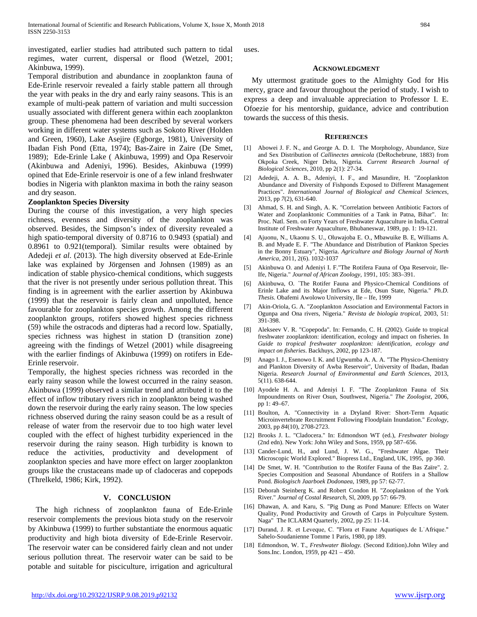investigated, earlier studies had attributed such pattern to tidal regimes, water current, dispersal or flood (Wetzel, 2001; Akinbuwa, 1999).

Temporal distribution and abundance in zooplankton fauna of Ede-Erinle reservoir revealed a fairly stable pattern all through the year with peaks in the dry and early rainy seasons. This is an example of multi-peak pattern of variation and multi succession usually associated with different genera within each zooplankton group. These phenomena had been described by several workers working in different water systems such as Sokoto River (Holden and Green, 1960), Lake Asejire (Egborge, 1981), University of Ibadan Fish Pond (Etta, 1974); Bas-Zaire in Zaire (De Smet, 1989); Ede-Erinle Lake ( Akinbuwa, 1999) and Opa Reservoir (Akinbuwa and Adeniyi, 1996). Besides, Akinbuwa (1999) opined that Ede-Erinle reservoir is one of a few inland freshwater bodies in Nigeria with plankton maxima in both the rainy season and dry season.

## **Zooplankton Species Diversity**

During the course of this investigation, a very high species richness, evenness and diversity of the zooplankton was observed. Besides, the Simpson's index of diversity revealed a high spatio-temporal diversity of 0.8716 to 0.9493 (spatial) and 0.8961 to 0.921(temporal). Similar results were obtained by Adedeji *et al*. (2013). The high diversity observed at Ede-Erinle lake was explained by Jörgensen and Johnsen (1989) as an indication of stable physico-chemical conditions, which suggests that the river is not presently under serious pollution threat. This finding is in agreement with the earlier assertion by Akinbuwa (1999) that the reservoir is fairly clean and unpolluted, hence favourable for zooplankton species growth. Among the different zooplankton groups, rotifers showed highest species richness (59) while the ostracods and dipteras had a record low. Spatially, species richness was highest in station D (transition zone) agreeing with the findings of Wetzel (2001) while disagreeing with the earlier findings of Akinbuwa (1999) on rotifers in Ede-Erinle reservoir.

Temporally, the highest species richness was recorded in the early rainy season while the lowest occurred in the rainy season. Akinbuwa (1999) observed a similar trend and attributed it to the effect of inflow tributary rivers rich in zooplankton being washed down the reservoir during the early rainy season. The low species richness observed during the rainy season could be as a result of release of water from the reservoir due to too high water level coupled with the effect of highest turbidity experienced in the reservoir during the rainy season. High turbidity is known to reduce the activities, productivity and development of zooplankton species and have more effect on larger zooplankton groups like the crustaceans made up of cladoceras and copepods (Threlkeld, 1986; Kirk, 1992).

#### **V. CONCLUSION**

The high richness of zooplankton fauna of Ede-Erinle reservoir complements the previous biota study on the reservoir by Akinbuwa (1999) to further substantiate the enormous aquatic productivity and high biota diversity of Ede-Erinle Reservoir. The reservoir water can be considered fairly clean and not under serious pollution threat. The reservoir water can be said to be potable and suitable for pisciculture, irrigation and agricultural

uses.

#### **ACKNOWLEDGMENT**

My uttermost gratitude goes to the Almighty God for His mercy, grace and favour throughout the period of study. I wish to express a deep and invaluable appreciation to Professor I. E. Ofoezie for his mentorship, guidance, advice and contribution towards the success of this thesis.

#### **REFERENCES**

- [1] Abowei J. F. N., and George A. D. I. The Morphology, Abundance, Size and Sex Distribution of *Callinectes amnicola* (DeRochebrune, 1883) from Okpoka Creek, Niger Delta, Nigeria. *Current Research Journal of Biological Sciences*, 2010, pp 2(1): 27-34.
- [2] Adedeji, A. A. B., Adeniyi, I. F., and Masundire, H. "Zooplankton Abundance and Diversity of Fishponds Exposed to Different Management Practices". *International Journal of Biological and Chemical Sciences*, 2013, pp *7*(2), 631-640.
- [3] Ahmad, S. H. and Singh, A. K. "Correlation between Antibiotic Factors of Water and Zooplanktonic Communities of a Tank in Patna, Bihar". In: Proc. Natl. Sem. on Forty Years of Freshwater Aquaculture in India, Central Institute of Freshwater Aquaculture, Bhubaneswar, 1989, pp. 1: 19-121.
- [4] Ajuonu, N., Ukaonu S. U., Oluwajoba E. O., Mbawuike B. E, Williams A. B. and Myade E. F. "The Abundance and Distribution of Plankton Species in the Bonny Estuary", Nigeria. *Agriculture and Biology Journal of North America*, 2011, 2(6). 1032-1037
- [5] Akinbuwa O. and Adeniyi I. F."The Rotifera Fauna of Opa Reservoir, Ile-Ife, Nigeria." *Journal of African Zoology*, 1991, 105: 383–391.
- [6] Akinbuwa, O. ´The Rotifer Fauna and Physico-Chemical Conditions of Erinle Lake and its Major Inflows at Ede, Osun State, Nigeria." *Ph.D. Thesis.* Obafemi Awolowo University, Ile – Ife, 1999
- [7] Akin-Oriola, G. A. "Zooplankton Association and Environmental Factors in Ogunpa and Ona rivers, Nigeria." *Revista de biología tropical*, 2003, 51: 391-398.
- [8] Alekseev V. R. "Copepoda". In: Fernando, C. H. (2002). Guide to tropical freshwater zooplankton: identification, ecology and impact on fisheries. In *Guide to tropical freshwater zooplankton: identification, ecology and impact on fisheries*. Backhuys, 2002, pp 123-187.
- Anago I. J., Esenowo I. K. and Ugwumba A. A. A. "The Physico-Chemistry and Plankton Diversity of Awba Reservoir", University of Ibadan, Ibadan Nigeria. *Research Journal of Environmental and Earth Sciences*, 2013, 5(11). 638-644.
- [10] Ayodele H. A. and Adeniyi I. F. "The Zooplankton Fauna of Six Impoundments on River Osun, Southwest, Nigeria." *The Zoologist*, 2006, pp 1: 49–67.
- [11] Boulton, A. "Connectivity in a Dryland River: Short-Term Aquatic Microinvertebrate Recruitment Following Floodplain Inundation." *Ecology*, 2003, pp *84*(10), 2708-2723.
- [12] Brooks J. L. "Cladocera." In: Edmondson WT (ed.), *Freshwater biology* (2nd edn). New York: John Wiley and Sons, 1959, pp 587–656.
- [13] Cander-Lund, H., and Lund, J. W. G., "Freshwater Algae. Their Microscopic World Explored." Biopress Ltd., England, UK, 1995, pp 360.
- [14] De Smet, W. H. "Contribution to the Rotifer Fauna of the Bas Zaïre". 2. Species Composition and Seasonal Abundance of Rotifers in a Shallow Pond. *Biologisch Jaarboek Dodonaea*, 1989, pp 57: 62-77.
- [15] Deborah Steinberg K. and Robert Condon H. "Zooplankton of the York River." *Journal of Costal Research*, Sl, 2009, pp 57: 66-79.
- [16] Dhawan, A. and Karu, S. "Pig Dung as Pond Manure: Effects on Water Quality, Pond Productivity and Growth of Carps in Polyculture System. Naga" The ICLARM Quarterly, 2002, pp 25: 11-14.
- [17] Durand, J. R. et Leveque, C. "Flora et Faune Aquatiques de LˈAfrique." Sahelo-Soudanienne Tomme 1 Paris, 1980, pp 189.
- [18] Edmondson, W. T., *Freshwater Biology.* (Second Edition).John Wiley and Sons.Inc. London, 1959, pp 421 – 450.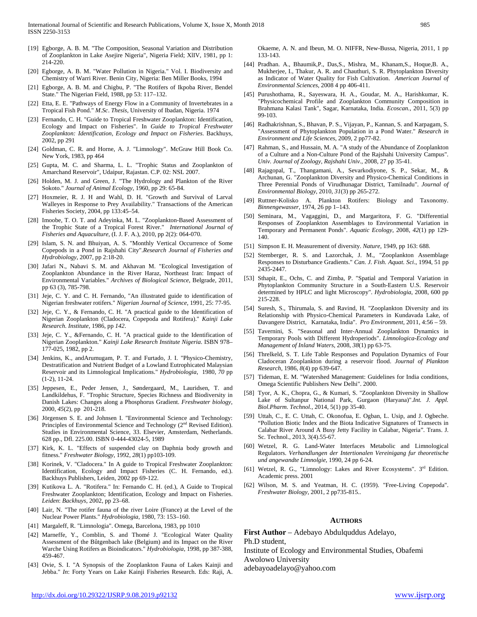- [19] Egborge, A. B. M. "The Composition, Seasonal Variation and Distribution of Zooplankton in Lake Asejire Nigeria", Nigeria Field; XlIV, 1981, pp 1: 214-220.
- [20] Egborge, A. B. M. "Water Pollution in Nigeria." Vol. I. Biodiversity and Chemistry of Warri River. Benin City, Nigeria: Ben Miller Books, 1994
- [21] Egborge, A. B. M. and Chigbu, P. "The Rotifers of Ikpoba River, Bendel State." The Nigerian Field, 1988, pp 53: 117–132.
- [22] Etta, E. E. "Pathways of Energy Flow in a Community of Invertebrates in a Tropical Fish Pond." *M*.*Sc*. *Thesis*, University of Ibadan, Nigeria. 1974
- [23] Fernando, C. H. "Guide to Tropical Freshwater Zooplankton: Identification, Ecology and Impact on Fisheries". In *Guide to Tropical Freshwater Zooplankton: Identification, Ecology and Impact on Fisheries*. Backhuys, 2002, pp 291
- [24] Goldman, C. R. and Horne, A. J. "Limnology". McGraw Hill Book Co. New York, 1983, pp 464
- [25] Gupta, M. C. and Sharma, L. L. "Trophic Status and Zooplankton of Amarchand Reservoir", Udaipur, Rajastan. C.P. 02: NSL 2007.
- [26] Holden, M. J. and Green, J. "The Hydrology and Plankton of the River Sokoto." *Journal of Animal Ecology*, 1960, pp 29: 65-84.
- [27] Hoxmeier, R. J. H and Wahl, D. H. "Growth and Survival of Larval Walleyes in Response to Prey Availability." Transactions of the American Fisheries Society, 2004, pp 133:45–54.
- [28] Imoobe, T. O. T. and Adevinka, M. L. "Zooplankton-Based Assessment of the Trophic State of a Tropical Forest River." *International Journal of Fisheries and Aquaculture*, (I. J. F. A.), 2010, pp 2(2): 064-070.
- [29] Islam, S. N. and Bhuiyan, A. S. "Monthly Vertical Occurrence of Some Copepods in a Pond in Rajshahi City".*Research Journal of Fisheries and Hydrobiology*, 2007, pp 2:18-20.
- [30] Jafari N., Nabavi S. M. and Akhavan M. "Ecological Investigation of Zooplankton Abundance in the River Haraz, Northeast Iran: Impact of Environmental Variables." *Archives of Biological Science,* Belgrade, 2011, pp 63 (3), 785-798.
- [31] Jeje, C. Y. and C. H. Fernando, "An illustrated guide to identification of Nigerian freshwater rotifers." *Nigerian Journal of Science*, 1991, 25: 77-95.
- [32] Jeje, C. Y., & Fernando, C. H. "A practical guide to the Identification of Nigerian Zooplankton (Cladocera, Copepoda and Rotifera)." *Kainji Lake Research. Institute*, 1986, pp *142*.
- [33] Jeje, C. Y., &Fernando, C. H. "A practical guide to the Identification of Nigerian Zooplankton*.*" *Kainji Lake Research Institute Nigeria*. ISBN 978– 177-025, 1982, pp 2.
- [34] Jenkins, K., andArumugam, P. T. and Furtado, J. I. "Physico-Chemistry, Destratification and Nutrient Budget of a Lowland Eutrophicated Malaysian Reservoir and its Limnological Implications." *Hydrobiologia*, 1980, *70* pp (1-2), 11-24.
- [35] Jeppesen, E., Peder Jensen, J., Søndergaard, M., Lauridsen, T. and Landkildehus, F. "Trophic Structure, Species Richness and Biodiversity in Danish Lakes: Changes along a Phosphorus Gradient. *Freshwater biology*, 2000, *45*(2), pp 201-218.
- [36] Jörgensen S. E. and Johnsen I. "Environmental Science and Technology: Principles of Environmental Science and Technology (2<sup>nd</sup> Revised Edition). Studies in Environmental Science, 33. Elsevier, Amsterdam, Netherlands. 628 pp., Dfl. 225.00. ISBN 0-444-43024-5, 1989
- [37] Kirk, K. L. "Effects of suspended clay on Daphnia body growth and fitness." *Freshwater Biology*, 1992, *28*(1) pp103-109.
- [38] Korinek, V. "Cladocera." In A guide to Tropical Freshwater Zooplankton: Identification, Ecology and Impact Fisheries (C. H. Fernando, ed.). Backhuys Publishers, Leiden, 2002 pp 69-122.
- [39] Kutikova L. A. "Rotifera." In: Fernando C. H. (ed.), A Guide to Tropical Freshwater Zooplankton; Identification, Ecology and Impact on Fisheries. *Leiden*: *Backhuys*, 2002, pp 23–68.
- [40] Lair, N. "The rotifer fauna of the river Loire (France) at the Level of the Nuclear Power Plants." *Hydrobiologia*, 1980, 73: 153–160.
- [41] Margaleff, R. "Limnologia". Omega, Barcelona, 1983, pp 1010
- [42] Marneffe, Y., Comblin, S. and Thomé J. "Ecological Water Quality Assessment of the Bûtgenbach lake (Belgium) and its Impact on the River Warche Using Rotifers as Bioindicators." *Hydrobiologia*, 1998, pp 387-388, 459-467.
- [43] Ovie, S. I. "A Synopsis of the Zooplankton Fauna of Lakes Kainji and Jebba." *In*: Forty Years on Lake Kainji Fisheries Research. Eds: Raji, A.

Okaeme, A. N. and Ibeun, M. O. NIFFR, New-Bussa, Nigeria, 2011, 1 pp 133-143.

- [44] Pradhan. A., Bhaumik,P., Das,S., Mishra, M., Khanam,S., Hoque,B. A., Mukherjee, I., Thakur, A. R. and Chauthuri, S. R. Phytoplankton Diversity as Indicator of Water Quality for Fish Cultivation. *American Journal of Environmental Sciences*, 2008 4 pp 406-411.
- [45] Purushothama, R., Sayeswara, H. A., Goudar, M. A., Harishkumar, K. "Physicochemical Profile and Zooplankton Community Composition in Brahmana Kalasi Tank", Sagar, Karnataka, India. *Ecoscan.,* 2011, 5(3) pp 99-103.
- [46] Radhakrishnan, S., Bhavan, P. S., Vijayan, P., Kannan, S. and Karpagam, S. "Assessment of Phytoplankton Population in a Pond Water." *Research in Environment and Life Sciences*, 2009, 2 pp77-82.
- [47] Rahman, S., and Hussain, M. A. "A study of the Abundance of Zooplankton of a Culture and a Non-Culture Pond of the Rajshahi University Campus". *Univ. Journal of Zoology, Rajshahi Univ.*, 2008, 27 pp 35-41.
- [48] Rajagopal, T., Thangamani, A., Sevarkodiyone, S. P., Sekar, M., & Archunan, G. "Zooplankton Diversity and Physico-Chemical Conditions in Three Perennial Ponds of Virudhunagar District, Tamilnadu". *Journal of Environmental Biology*, 2010, *31*(3) pp 265-272.
- [49] Ruttner-Kolisko A. Plankton Rotifers: Biology and Taxonomy. *Binnengewasser*, 1974, 26 pp 1–143.
- [50] Seminara, M., Vagaggini, D., and Margaritora, F. G. "Differential Responses of Zooplankton Assemblages to Environmental Variation in Temporary and Permanent Ponds". *Aquatic Ecology*, 2008, *42*(1) pp 129- 140.
- [51] Simpson E. H. Measurement of diversity. *Nature*, 1949, pp 163: 688.
- [52] Stemberger, R. S. and Lazorchak, J. M., "Zooplankton Assemblage Responses to Disturbance Gradients." *Can. J. Fish. Aquat. Sci*., 1994, 51 pp 2435-2447.
- [53] Sthapit, E., Ochs, C. and Zimba, P. "Spatial and Temporal Variation in Phytoplankton Community Structure in a South-Eastern U.S. Reservoir determined by HPLC and light Microscopy". *Hydrobiologia*, 2008, 600 pp 215-228.
- [54] Suresh, S., Thirumala, S. and Ravind, H. "Zooplankton Diversity and its Relationship with Physico-Chemical Parameters in Kundavada Lake, of Davangere District, Karnataka, India". *Pro Environment*, 2011, 4:56 – 59.
- [55] Tavernini, S. "Seasonal and Inter-Annual Zooplankton Dynamics in Temporary Pools with Different Hydroperiods". *Limnologica-Ecology and Management of Inland Waters*, 2008, *38*(1) pp 63-75.
- [56] Threlkeld, S. T. Life Table Responses and Population Dynamics of Four Cladoceran Zooplankton during a reservoir flood. *Journal of Plankton Research*, 1986, *8*(4) pp 639-647.
- [57] Tideman, E. M. "Watershed Management: Guidelines for India conditions, Omega Scientific Publishers New Delhi". 2000.
- [58] Tyor, A. K., Chopra, G., & Kumari, S. "Zooplankton Diversity in Shallow Lake of Sultanpur National Park, Gurgaon (Haryana)".*Int. J. Appl. Biol.Pharm. Technol.,* 2014, 5(1) pp 35-40*.*
- [59] Uttah, C., E. C. Uttah, C. Okonofua, E. Ogban, L. Usip, and J. Ogbeche. "Pollution Biotic Index and the Biota Indicative Signatures of Transects in Calabar River Around A Busy Jetty Facility in Calabar, Nigeria". Trans. J. Sc. Technol., 2013, 3(4).55-67.
- [60] Wetzel, R. G. Land-Water Interfaces Metabolic and Limnological Regulators. *Verhandlungen der Intertionalen Vereinigang fur theoretische und angewandte Limnolgie*, 1990, 24 pp 6-24.
- [61] Wetzel, R. G., "Limnology: Lakes and River Ecosystems". 3<sup>rd</sup> Edition. Academic press. 2001
- [62] Wilson, M. S. and Yeatman, H. C. (1959). "Free-Living Copepoda". *Freshwater Biology*, 2001, 2 pp735-815..

#### **AUTHORS**

**First Author** – Adebayo Abdulquddus Adelayo, Ph.D student,

Institute of Ecology and Environmental Studies, Obafemi Awolowo University adebayoadelayo@yahoo.com